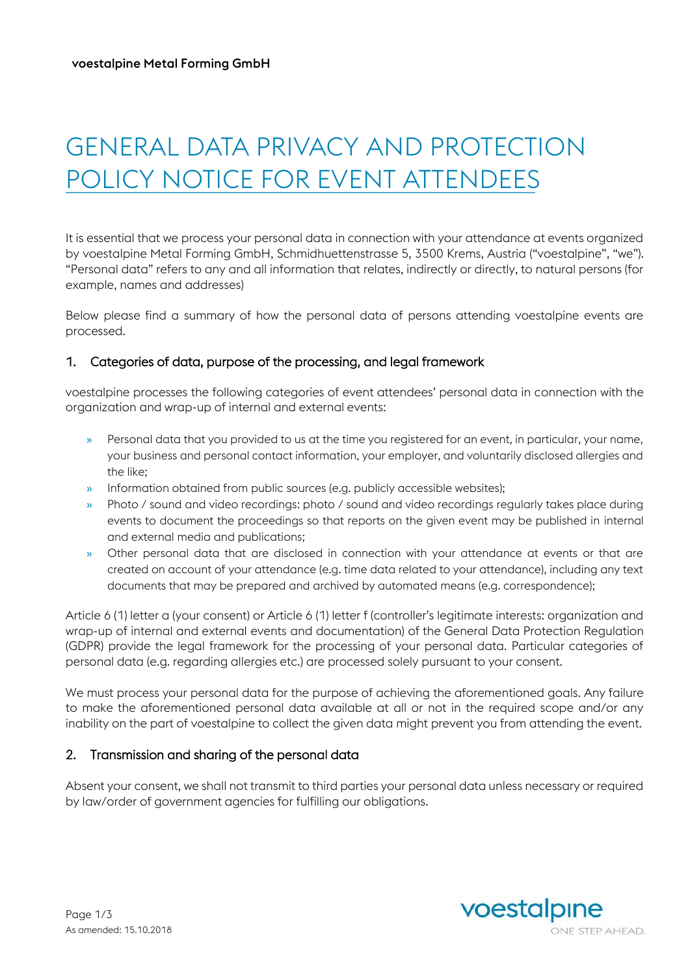# GENERAL DATA PRIVACY AND PROTECTION POLICY NOTICE FOR EVENT ATTENDEES

It is essential that we process your personal data in connection with your attendance at events organized by voestalpine Metal Forming GmbH, Schmidhuettenstrasse 5, 3500 Krems, Austria ("voestalpine", "we"). "Personal data" refers to any and all information that relates, indirectly or directly, to natural persons (for example, names and addresses)

Below please find a summary of how the personal data of persons attending voestalpine events are processed.

## 1. Categories of data, purpose of the processing, and legal framework

voestalpine processes the following categories of event attendees' personal data in connection with the organization and wrap-up of internal and external events:

- » Personal data that you provided to us at the time you registered for an event, in particular, your name, your business and personal contact information, your employer, and voluntarily disclosed allergies and the like;
- » Information obtained from public sources (e.g. publicly accessible websites);
- » Photo / sound and video recordings: photo / sound and video recordings regularly takes place during events to document the proceedings so that reports on the given event may be published in internal and external media and publications;
- » Other personal data that are disclosed in connection with your attendance at events or that are created on account of your attendance (e.g. time data related to your attendance), including any text documents that may be prepared and archived by automated means (e.g. correspondence);

Article 6 (1) letter a (your consent) or Article 6 (1) letter f (controller's legitimate interests: organization and wrap-up of internal and external events and documentation) of the General Data Protection Regulation (GDPR) provide the legal framework for the processing of your personal data. Particular categories of personal data (e.g. regarding allergies etc.) are processed solely pursuant to your consent.

We must process your personal data for the purpose of achieving the aforementioned goals. Any failure to make the aforementioned personal data available at all or not in the required scope and/or any inability on the part of voestalpine to collect the given data might prevent you from attending the event.

## 2. Transmission and sharing of the personal data

Absent your consent, we shall not transmit to third parties your personal data unless necessary or required by law/order of government agencies for fulfilling our obligations.

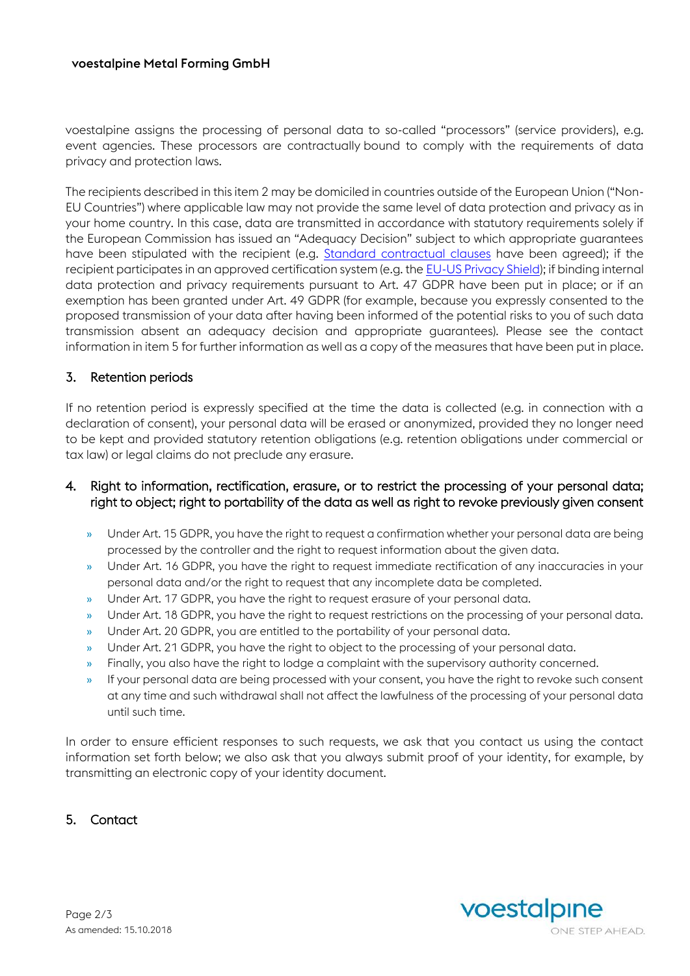voestalpine assigns the processing of personal data to so-called "processors" (service providers), e.g. event agencies. These processors are contractually bound to comply with the requirements of data privacy and protection laws.

The recipients described in this item 2 may be domiciled in countries outside of the European Union ("Non-EU Countries") where applicable law may not provide the same level of data protection and privacy as in your home country. In this case, data are transmitted in accordance with statutory requirements solely if the European Commission has issued an "Adequacy Decision" subject to which appropriate guarantees have been stipulated with the recipient (e.g. [Standard contractual clauses](https://ec.europa.eu/info/law/law-topic/data-protection/data-transfers-outside-eu/model-contracts-transfer-personal-data-third-countries_en) have been agreed); if the recipient participates in an approved certification system (e.g. th[e EU-US Privacy Shield\)](https://www.privacyshield.gov/welcome); if binding internal data protection and privacy requirements pursuant to Art. 47 GDPR have been put in place; or if an exemption has been granted under Art. 49 GDPR (for example, because you expressly consented to the proposed transmission of your data after having been informed of the potential risks to you of such data transmission absent an adequacy decision and appropriate guarantees). Please see the contact information in item 5 for further information as well as a copy of the measures that have been put in place.

# 3. Retention periods

If no retention period is expressly specified at the time the data is collected (e.g. in connection with a declaration of consent), your personal data will be erased or anonymized, provided they no longer need to be kept and provided statutory retention obligations (e.g. retention obligations under commercial or tax law) or legal claims do not preclude any erasure.

## 4. Right to information, rectification, erasure, or to restrict the processing of your personal data; right to object; right to portability of the data as well as right to revoke previously given consent

- » Under Art. 15 GDPR, you have the right to request a confirmation whether your personal data are being processed by the controller and the right to request information about the given data.
- » Under Art. 16 GDPR, you have the right to request immediate rectification of any inaccuracies in your personal data and/or the right to request that any incomplete data be completed.
- » Under Art. 17 GDPR, you have the right to request erasure of your personal data.
- » Under Art. 18 GDPR, you have the right to request restrictions on the processing of your personal data.
- » Under Art. 20 GDPR, you are entitled to the portability of your personal data.
- » Under Art. 21 GDPR, you have the right to object to the processing of your personal data.
- » Finally, you also have the right to lodge a complaint with the supervisory authority concerned.
- » If your personal data are being processed with your consent, you have the right to revoke such consent at any time and such withdrawal shall not affect the lawfulness of the processing of your personal data until such time.

In order to ensure efficient responses to such requests, we ask that you contact us using the contact information set forth below; we also ask that you always submit proof of your identity, for example, by transmitting an electronic copy of your identity document.

## 5. Contact